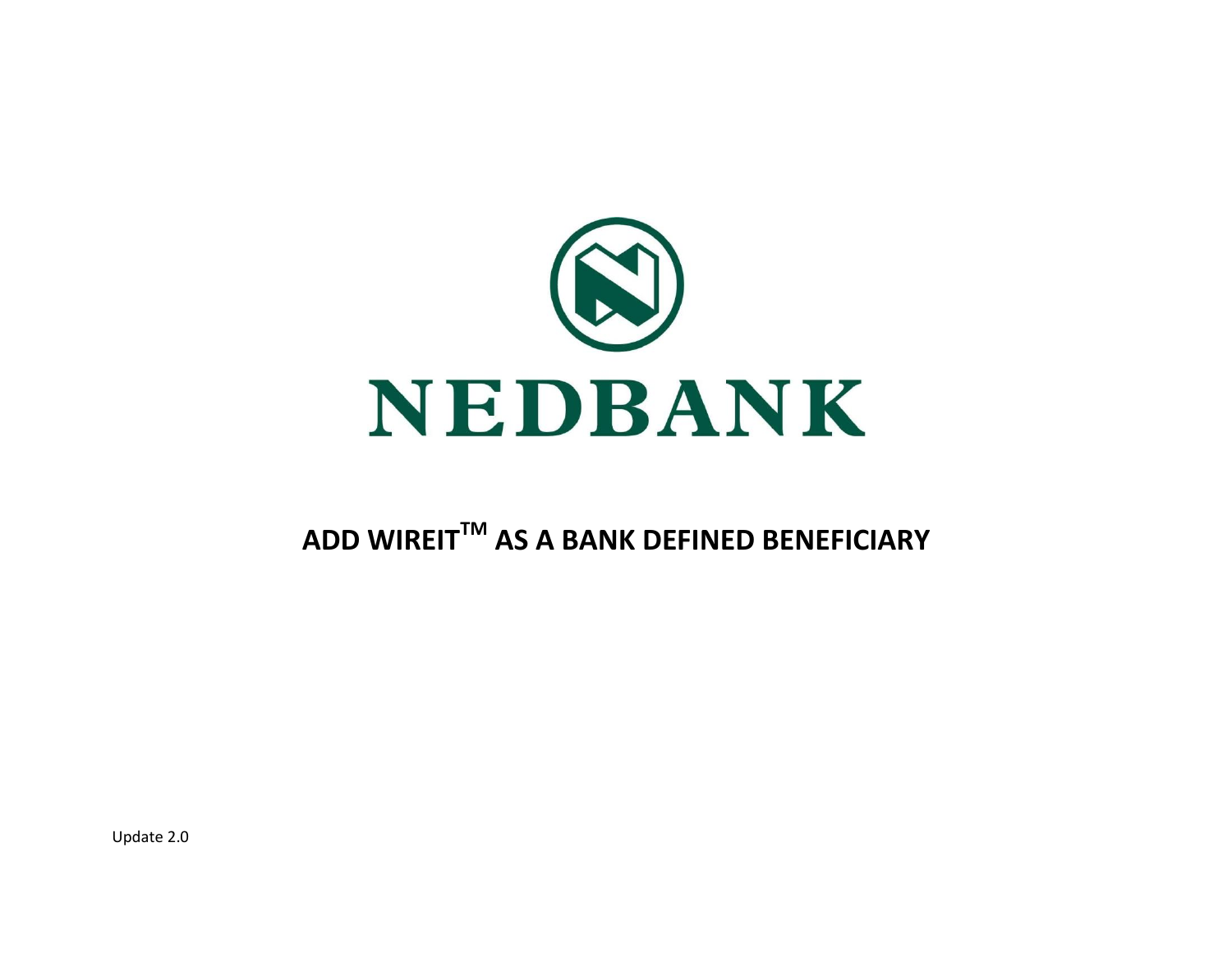

# **ADD WIREITTM AS A BANK DEFINED BENEFICIARY**

Update 2.0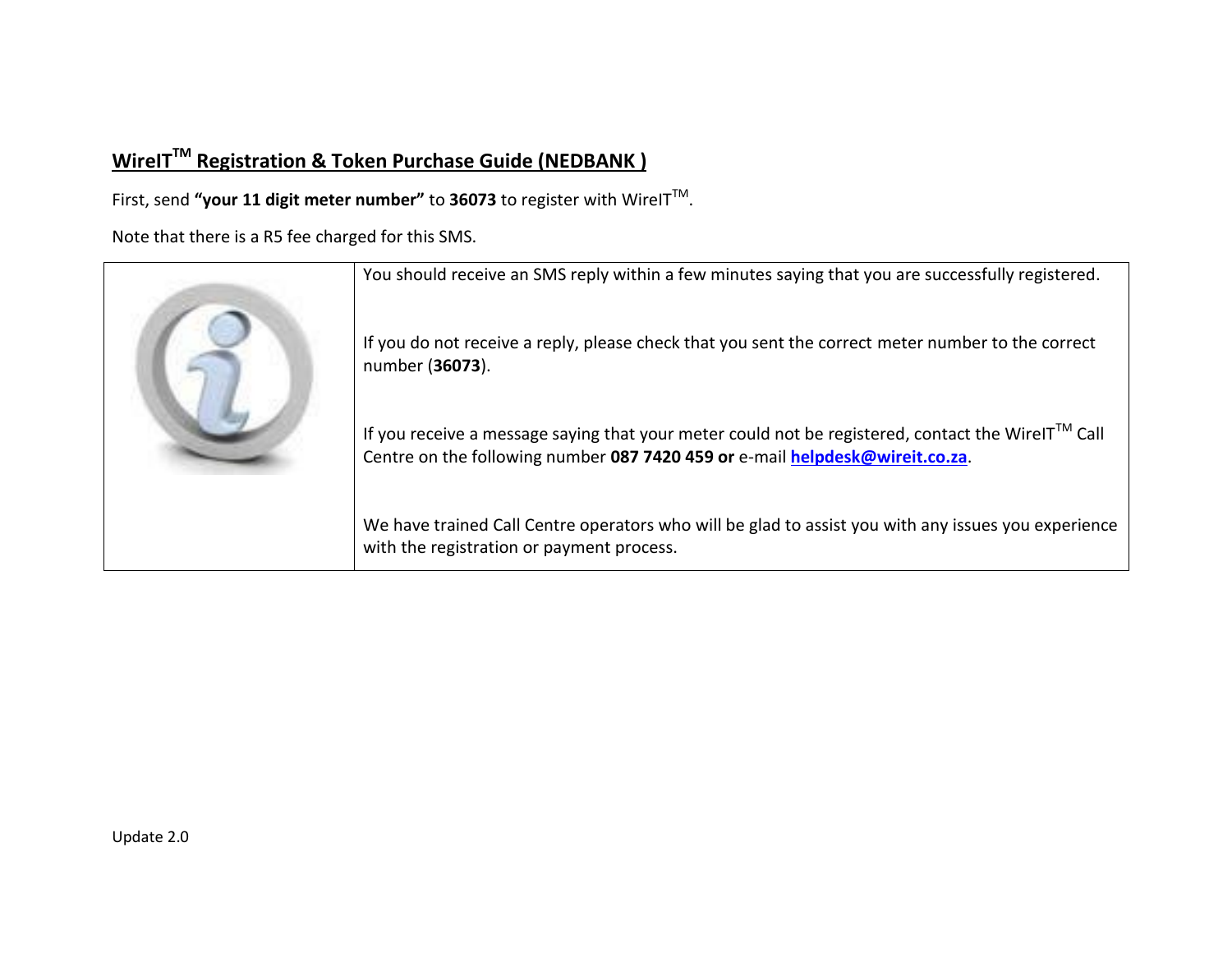# **WireITTM Registration & Token Purchase Guide (NEDBANK )**

First, send **"your 11 digit meter number"** to **36073** to register with WireITTM .

Note that there is a R5 fee charged for this SMS.

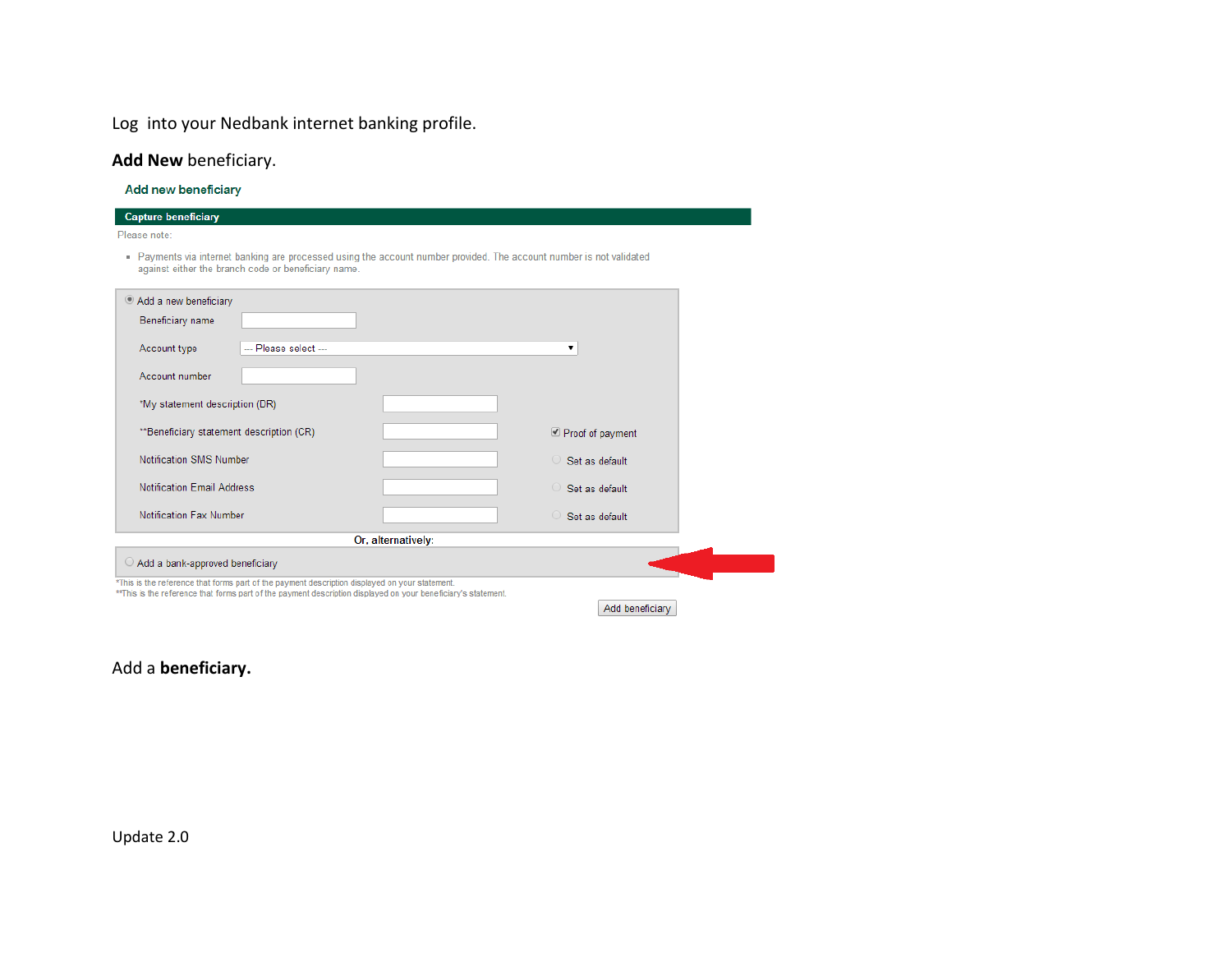# Log into your Nedbank internet banking profile.

### **Add New** beneficiary.

Add new beneficiary

| <b>Capture beneficiary</b>                                                                                                                                                                                       |                        |
|------------------------------------------------------------------------------------------------------------------------------------------------------------------------------------------------------------------|------------------------|
| Please note:                                                                                                                                                                                                     |                        |
| . Payments via internet banking are processed using the account number provided. The account number is not validated<br>against either the branch code or beneficiary name.                                      |                        |
| Add a new beneficiary                                                                                                                                                                                            |                        |
| Beneficiary name                                                                                                                                                                                                 |                        |
| --- Please select ---<br>Account type                                                                                                                                                                            | ▼                      |
| Account number                                                                                                                                                                                                   |                        |
| *My statement description (DR)                                                                                                                                                                                   |                        |
| **Beneficiary statement description (CR)                                                                                                                                                                         | Proof of payment       |
| Notification SMS Number                                                                                                                                                                                          | $\circ$ Set as default |
| <b>Notification Email Address</b>                                                                                                                                                                                | $\circ$ Set as default |
| Notification Fax Number                                                                                                                                                                                          | $\circ$ Set as default |
| Or, alternatively:                                                                                                                                                                                               |                        |
| $\bigcirc$ Add a bank-approved beneficiary                                                                                                                                                                       |                        |
| *This is the reference that forms part of the payment description displayed on your statement.<br>** This is the reference that forms part of the payment description displayed on your beneficiary's statement. |                        |
|                                                                                                                                                                                                                  | Add beneficiary        |

Add a **beneficiary.**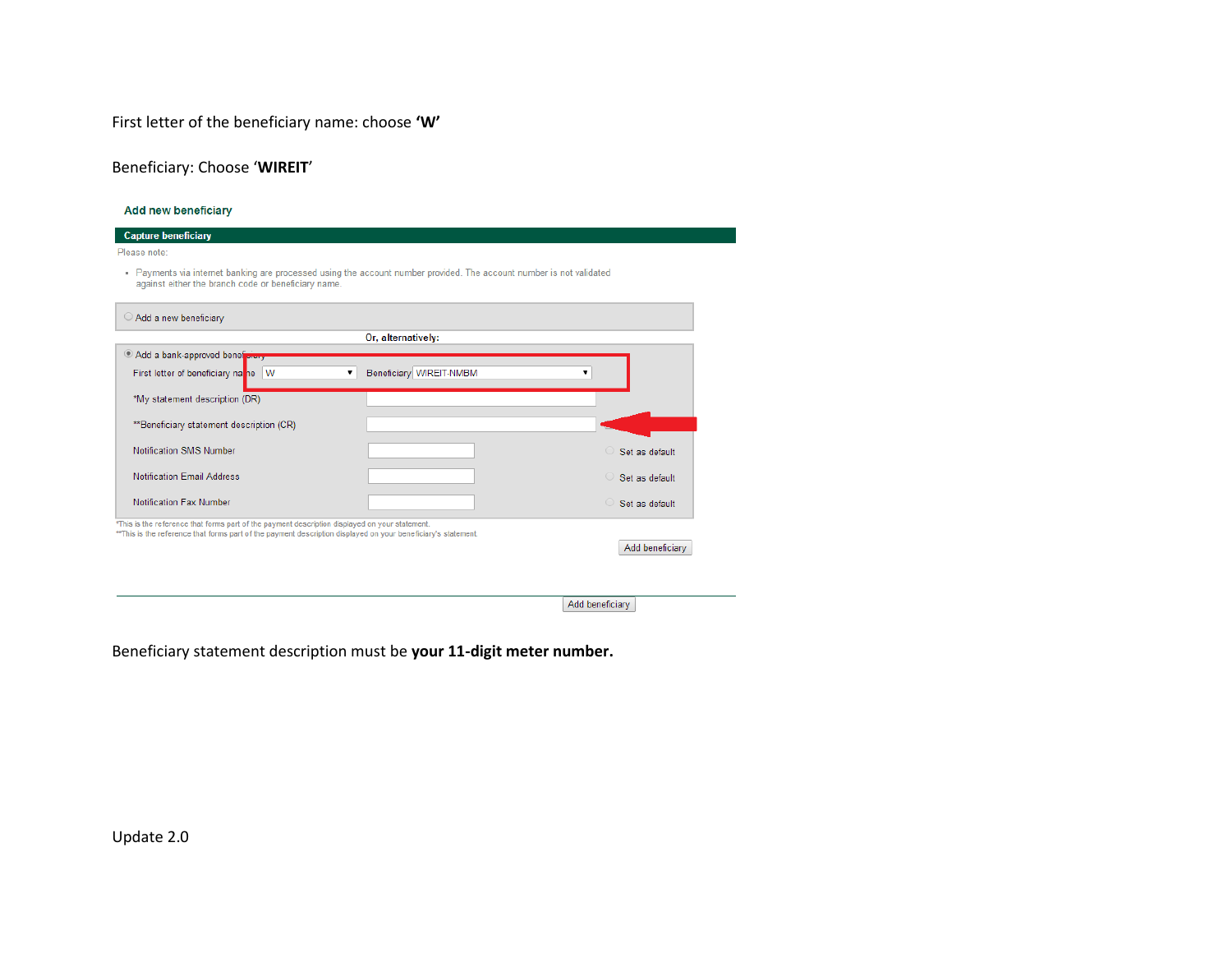First letter of the beneficiary name: choose **'W'**

Beneficiary: Choose '**WIREIT**'

#### Add new beneficiary

| <b>Capture beneficiary</b>                                                                                                                                                                                      |                                                                                                                    |                                          |
|-----------------------------------------------------------------------------------------------------------------------------------------------------------------------------------------------------------------|--------------------------------------------------------------------------------------------------------------------|------------------------------------------|
| Please note:                                                                                                                                                                                                    |                                                                                                                    |                                          |
| against either the branch code or beneficiary name.                                                                                                                                                             | Payments via internet banking are processed using the account number provided. The account number is not validated |                                          |
| $\circ$ Add a new beneficiary                                                                                                                                                                                   |                                                                                                                    |                                          |
|                                                                                                                                                                                                                 | Or, alternatively:                                                                                                 |                                          |
| Add a bank-approved beneficially                                                                                                                                                                                |                                                                                                                    |                                          |
| First letter of beneficiary na he W                                                                                                                                                                             | Beneficiary WIREIT-NMBM<br>7                                                                                       |                                          |
| *My statement description (DR)                                                                                                                                                                                  |                                                                                                                    |                                          |
| **Beneficiary statement description (CR)                                                                                                                                                                        |                                                                                                                    |                                          |
| Notification SMS Number                                                                                                                                                                                         |                                                                                                                    | $\bigcirc$<br>Set as default             |
| <b>Notification Email Address</b>                                                                                                                                                                               |                                                                                                                    | Set as default<br>$\left( \quad \right)$ |
| Notification Fax Number                                                                                                                                                                                         |                                                                                                                    | Set as default<br>$\bigcirc$             |
| *This is the reference that forms part of the payment description displayed on your statement.<br>**This is the reference that forms part of the payment description displayed on your beneficiary's statement. |                                                                                                                    |                                          |
|                                                                                                                                                                                                                 |                                                                                                                    | Add beneficiary                          |
|                                                                                                                                                                                                                 |                                                                                                                    |                                          |
|                                                                                                                                                                                                                 |                                                                                                                    |                                          |

Add beneficiary

Beneficiary statement description must be **your 11-digit meter number.**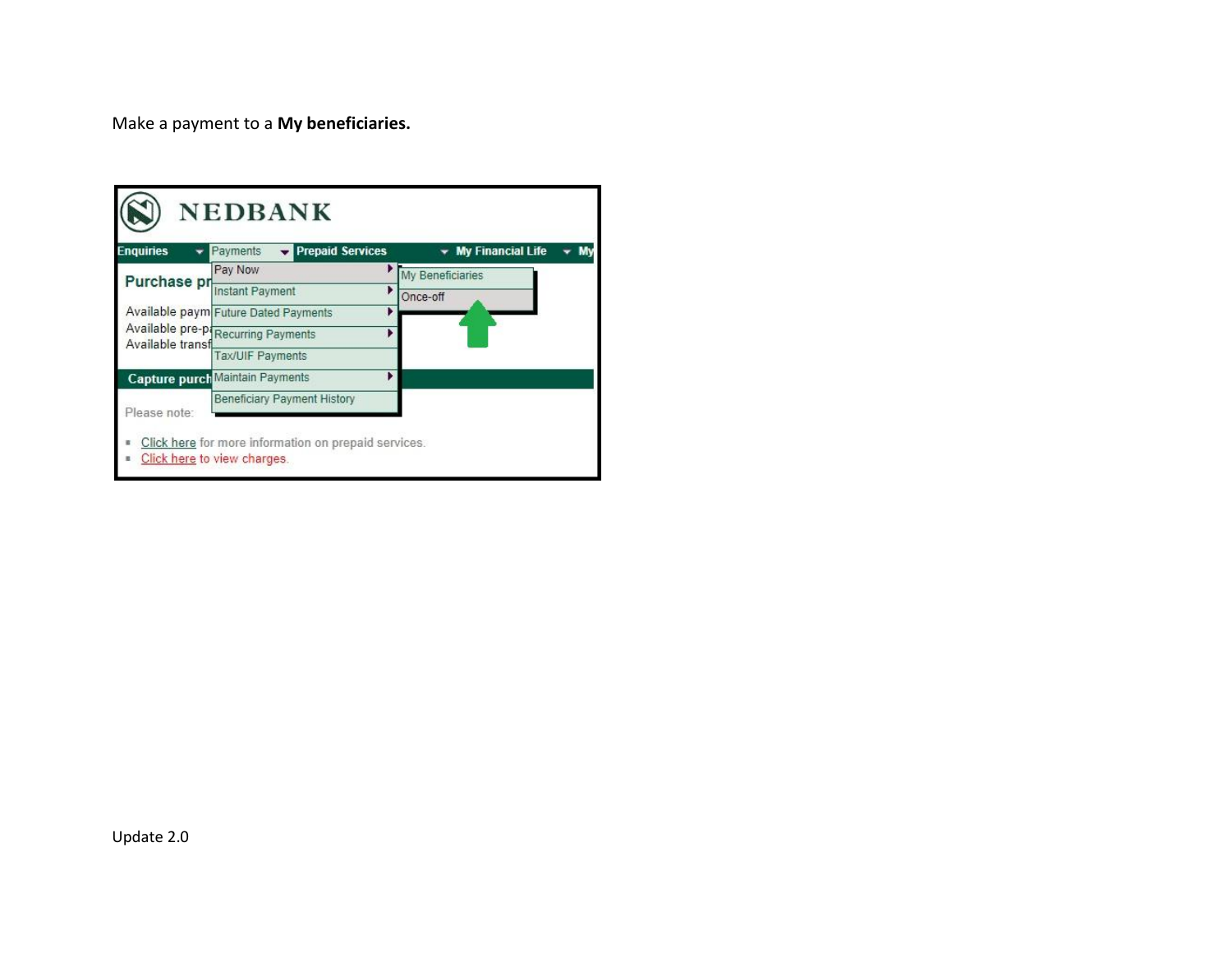Make a payment to a **My beneficiaries.**

| <b>Enquiries</b>  | Payments<br><b>Prepaid Services</b>    | <b>My Financial Life</b> |
|-------------------|----------------------------------------|--------------------------|
| Purchase pr       | Pay Now                                | My Beneficiaries         |
|                   | Instant Payment                        | Þ<br>Once-off            |
|                   | Available paym Future Dated Payments   |                          |
| Available transfl | Available pre-pi Recurring Payments    |                          |
|                   | <b>Tax/UIF Payments</b>                |                          |
|                   | <b>Capture purch Maintain Payments</b> |                          |
| Please note:      | <b>Beneficiary Payment History</b>     |                          |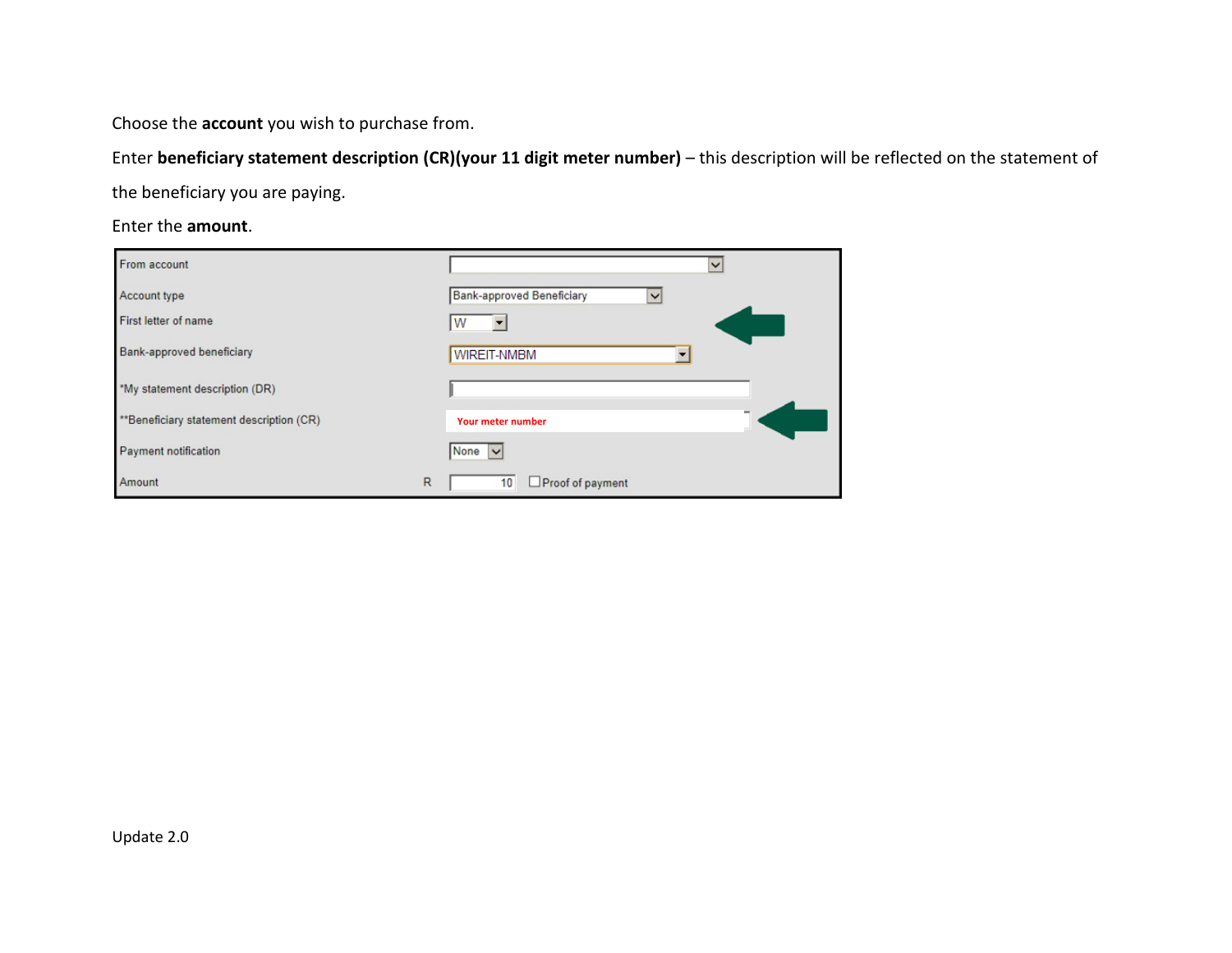Choose the **account** you wish to purchase from.

Enter **beneficiary statement description (CR)(your 11 digit meter number)** – this description will be reflected on the statement of the beneficiary you are paying.

Enter the **amount**.

| From account                             |              | $\checkmark$                   |
|------------------------------------------|--------------|--------------------------------|
| Account type                             |              | Bank-approved Beneficiary<br>v |
| First letter of name                     |              | W                              |
| Bank-approved beneficiary                |              | WIREIT-NMBM                    |
| *My statement description (DR)           |              |                                |
| **Beneficiary statement description (CR) |              | <b>Your meter number</b>       |
| Payment notification                     |              | None $\vee$                    |
| Amount                                   | $\mathsf{R}$ | Proof of payment<br>10         |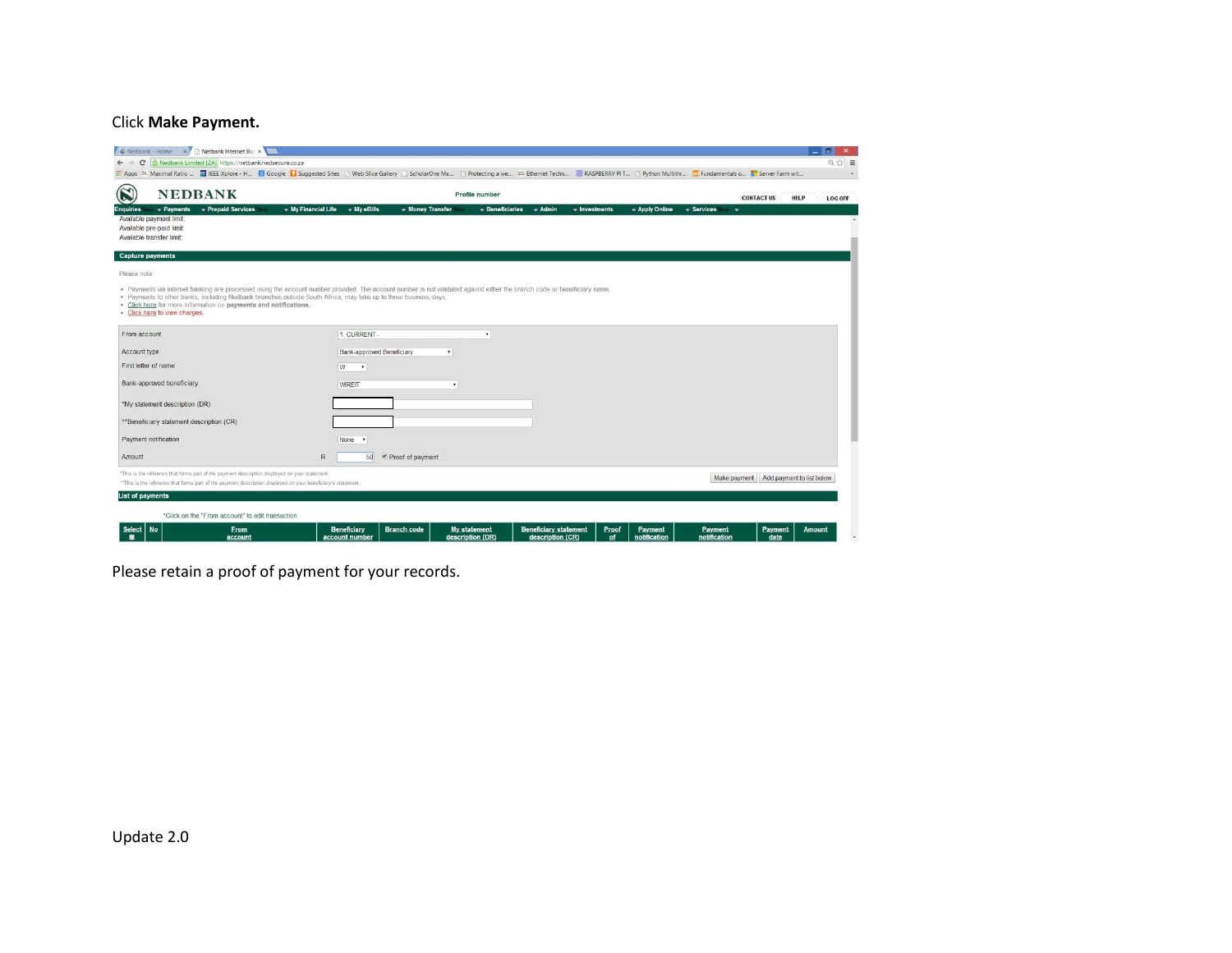### Click **Make Payment.**

|                                                                                                                                                                                                                                                                                             | ← → C   6 Nedbank Limited [ZA] https://netbank.nedsecure.co.za |                           |                                        |              |                    |                |                   |                                        | $Q \nsubseteq$ = |
|---------------------------------------------------------------------------------------------------------------------------------------------------------------------------------------------------------------------------------------------------------------------------------------------|----------------------------------------------------------------|---------------------------|----------------------------------------|--------------|--------------------|----------------|-------------------|----------------------------------------|------------------|
| EL Apps DL Maximal Ratio  EL EEE Xplore - H & Google & Suggested Sites   Web Slice Gallery   ScholarOne Ma   Protecting a we ## Ethernet Techn ## RASPBERRY PIT   Python Multithr & Fundamentals o " S                                                                                      |                                                                |                           |                                        |              |                    |                |                   |                                        |                  |
| $\bigcirc$<br><b>NEDBANK</b>                                                                                                                                                                                                                                                                |                                                                |                           | Profile number                         |              |                    |                |                   | <b>CONTACT US</b><br><b>HELP</b>       | <b>LOG OFF</b>   |
| - Prepaid Services<br><b>Enquiries</b><br>- Payments                                                                                                                                                                                                                                        | $\bullet$ My Financial Life $\bullet$ My eBills                | - Money Transfer          | $\overline{\phantom{a}}$ Beneficiaries | $\div$ Admin | $\div$ Investments | + Apply Online | - Services<br>- - |                                        |                  |
| Available payment limit:                                                                                                                                                                                                                                                                    |                                                                |                           |                                        |              |                    |                |                   |                                        |                  |
| Available pre-paid limit:                                                                                                                                                                                                                                                                   |                                                                |                           |                                        |              |                    |                |                   |                                        |                  |
| Available transfer limit:                                                                                                                                                                                                                                                                   |                                                                |                           |                                        |              |                    |                |                   |                                        |                  |
| <b>Capture payments</b>                                                                                                                                                                                                                                                                     |                                                                |                           |                                        |              |                    |                |                   |                                        |                  |
| Please note:                                                                                                                                                                                                                                                                                |                                                                |                           |                                        |              |                    |                |                   |                                        |                  |
|                                                                                                                                                                                                                                                                                             |                                                                |                           |                                        |              |                    |                |                   |                                        |                  |
| * Payments via internet banking are processed using the account number provided. The account number is not validated against either the branch code or beneficiary name.<br>. Payments to other banks, including Nedbank branches outside South Africa, may take up to three business days. |                                                                |                           |                                        |              |                    |                |                   |                                        |                  |
| * Click here for more information on payments and notifications.                                                                                                                                                                                                                            |                                                                |                           |                                        |              |                    |                |                   |                                        |                  |
| - Click here to view charges.                                                                                                                                                                                                                                                               |                                                                |                           |                                        |              |                    |                |                   |                                        |                  |
|                                                                                                                                                                                                                                                                                             |                                                                |                           |                                        |              |                    |                |                   |                                        |                  |
| From account                                                                                                                                                                                                                                                                                | 1. CURRENT -                                                   |                           | $\bullet$                              |              |                    |                |                   |                                        |                  |
| Account type                                                                                                                                                                                                                                                                                |                                                                | Bank-approved Beneficiary | $\bullet$                              |              |                    |                |                   |                                        |                  |
| First letter of name                                                                                                                                                                                                                                                                        | W<br>٠                                                         |                           |                                        |              |                    |                |                   |                                        |                  |
|                                                                                                                                                                                                                                                                                             |                                                                |                           |                                        |              |                    |                |                   |                                        |                  |
|                                                                                                                                                                                                                                                                                             |                                                                |                           |                                        |              |                    |                |                   |                                        |                  |
| Bank-approved beneficiary                                                                                                                                                                                                                                                                   | <b>WIREIT</b>                                                  |                           | $\mathbf{v}$                           |              |                    |                |                   |                                        |                  |
|                                                                                                                                                                                                                                                                                             |                                                                |                           |                                        |              |                    |                |                   |                                        |                  |
|                                                                                                                                                                                                                                                                                             |                                                                |                           |                                        |              |                    |                |                   |                                        |                  |
|                                                                                                                                                                                                                                                                                             |                                                                |                           |                                        |              |                    |                |                   |                                        |                  |
| "My statement description (DR)<br>**Beneficiary statement description (CR)<br>Payment notification                                                                                                                                                                                          | None<br>٠                                                      |                           |                                        |              |                    |                |                   |                                        |                  |
|                                                                                                                                                                                                                                                                                             |                                                                |                           |                                        |              |                    |                |                   |                                        |                  |
| Amount                                                                                                                                                                                                                                                                                      | $\mathbb R$                                                    | 50<br>Proof of payment    |                                        |              |                    |                |                   |                                        |                  |
| "This is the reference that forms part of the payment description displayed on your statement.                                                                                                                                                                                              |                                                                |                           |                                        |              |                    |                |                   |                                        |                  |
|                                                                                                                                                                                                                                                                                             |                                                                |                           |                                        |              |                    |                |                   | Make payment Add payment to list below |                  |
|                                                                                                                                                                                                                                                                                             |                                                                |                           |                                        |              |                    |                |                   |                                        |                  |
| ** This is the reference that forms part of the payment description displayed on your beneficiary's statement.<br><b>List of payments</b>                                                                                                                                                   |                                                                |                           |                                        |              |                    |                |                   |                                        |                  |

Please retain a proof of payment for your records.